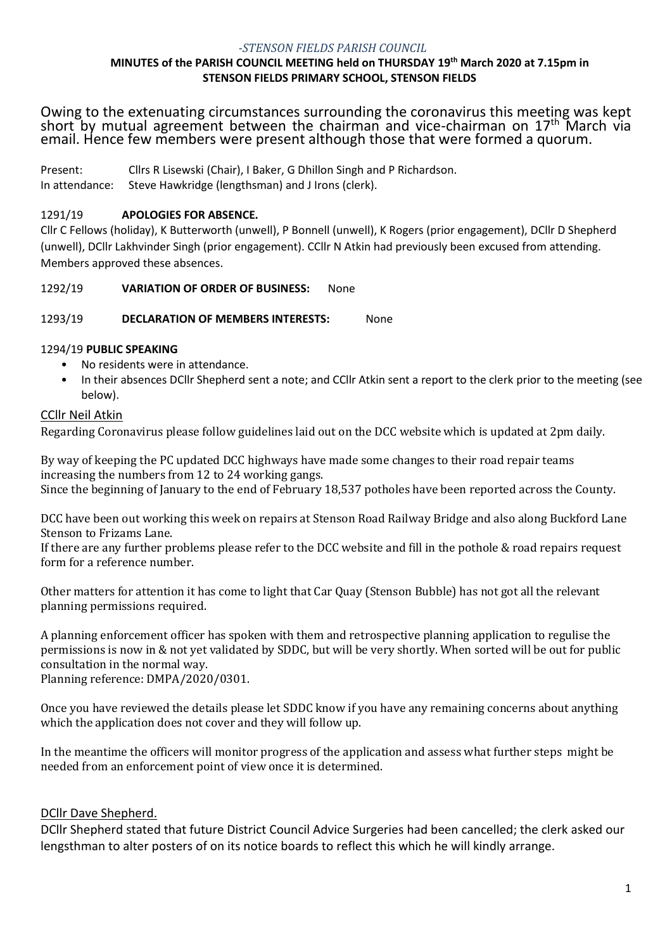#### *-STENSON FIELDS PARISH COUNCIL* **MINUTES of the PARISH COUNCIL MEETING held on THURSDAY 19th March 2020 at 7.15pm in STENSON FIELDS PRIMARY SCHOOL, STENSON FIELDS**

Owing to the extenuating circumstances surrounding the coronavirus this meeting was kept short by mutual agreement between the chairman and vice-chairman on 17<sup>th</sup> March via email. Hence few members were present although those that were formed a quorum.

Present: Cllrs R Lisewski (Chair), I Baker, G Dhillon Singh and P Richardson. In attendance: Steve Hawkridge (lengthsman) and J Irons (clerk).

# 1291/19 **APOLOGIES FOR ABSENCE.**

Cllr C Fellows (holiday), K Butterworth (unwell), P Bonnell (unwell), K Rogers (prior engagement), DCllr D Shepherd (unwell), DCllr Lakhvinder Singh (prior engagement). CCllr N Atkin had previously been excused from attending. Members approved these absences.

1292/19 **VARIATION OF ORDER OF BUSINESS:** None

1293/19 **DECLARATION OF MEMBERS INTERESTS:** None

# 1294/19 **PUBLIC SPEAKING**

- No residents were in attendance.
- In their absences DCllr Shepherd sent a note; and CCllr Atkin sent a report to the clerk prior to the meeting (see below).

# CCllr Neil Atkin

Regarding Coronavirus please follow guidelines laid out on the DCC website which is updated at 2pm daily.

By way of keeping the PC updated DCC highways have made some changes to their road repair teams increasing the numbers from 12 to 24 working gangs. Since the beginning of January to the end of February 18,537 potholes have been reported across the County.

DCC have been out working this week on repairs at Stenson Road Railway Bridge and also along Buckford Lane Stenson to Frizams Lane.

If there are any further problems please refer to the DCC website and fill in the pothole & road repairs request form for a reference number.

Other matters for attention it has come to light that Car Quay (Stenson Bubble) has not got all the relevant planning permissions required.

A planning enforcement officer has spoken with them and retrospective planning application to regulise the permissions is now in & not yet validated by SDDC, but will be very shortly. When sorted will be out for public consultation in the normal way.

Planning reference: DMPA/2020/0301.

Once you have reviewed the details please let SDDC know if you have any remaining concerns about anything which the application does not cover and they will follow up.

In the meantime the officers will monitor progress of the application and assess what further steps might be needed from an enforcement point of view once it is determined.

# DCllr Dave Shepherd.

DCllr Shepherd stated that future District Council Advice Surgeries had been cancelled; the clerk asked our lengsthman to alter posters of on its notice boards to reflect this which he will kindly arrange.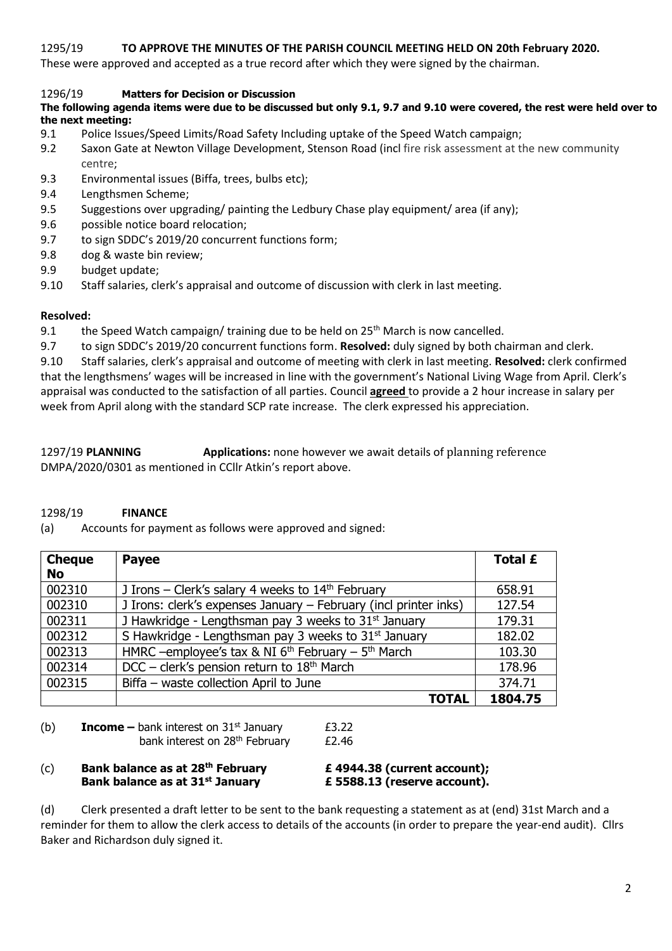## 1295/19 **TO APPROVE THE MINUTES OF THE PARISH COUNCIL MEETING HELD ON 20th February 2020.**

These were approved and accepted as a true record after which they were signed by the chairman.

## 1296/19 **Matters for Decision or Discussion**

## **The following agenda items were due to be discussed but only 9.1, 9.7 and 9.10 were covered, the rest were held over to the next meeting:**

- 9.1 Police Issues/Speed Limits/Road Safety Including uptake of the Speed Watch campaign;
- 9.2 Saxon Gate at Newton Village Development, Stenson Road (incl fire risk assessment at the new community centre;
- 9.3 Environmental issues (Biffa, trees, bulbs etc);
- 9.4 Lengthsmen Scheme;
- 9.5 Suggestions over upgrading/ painting the Ledbury Chase play equipment/ area (if any);
- 9.6 possible notice board relocation;
- 9.7 to sign SDDC's 2019/20 concurrent functions form;
- 9.8 dog & waste bin review;
- 9.9 budget update;
- 9.10 Staff salaries, clerk's appraisal and outcome of discussion with clerk in last meeting.

### **Resolved:**

9.1 the Speed Watch campaign/ training due to be held on  $25<sup>th</sup>$  March is now cancelled.

9.7 to sign SDDC's 2019/20 concurrent functions form. **Resolved:** duly signed by both chairman and clerk.

9.10 Staff salaries, clerk's appraisal and outcome of meeting with clerk in last meeting. **Resolved:** clerk confirmed that the lengthsmens' wages will be increased in line with the government's National Living Wage from April. Clerk's appraisal was conducted to the satisfaction of all parties. Council **agreed** to provide a 2 hour increase in salary per week from April along with the standard SCP rate increase. The clerk expressed his appreciation.

1297/19 **PLANNING Applications:** none however we await details of planning reference DMPA/2020/0301 as mentioned in CCllr Atkin's report above.

## 1298/19 **FINANCE**

(a) Accounts for payment as follows were approved and signed:

| <b>Cheque</b> | <b>Payee</b>                                                     | Total £ |
|---------------|------------------------------------------------------------------|---------|
| <b>No</b>     |                                                                  |         |
| 002310        | J Irons – Clerk's salary 4 weeks to $14th$ February              | 658.91  |
| 002310        | J Irons: clerk's expenses January - February (incl printer inks) | 127.54  |
| 002311        | J Hawkridge - Lengthsman pay 3 weeks to 31 <sup>st</sup> January | 179.31  |
| 002312        | S Hawkridge - Lengthsman pay 3 weeks to 31 <sup>st</sup> January | 182.02  |
| 002313        | HMRC -employee's tax & NI $6th$ February - $5th$ March           | 103.30  |
| 002314        | DCC - clerk's pension return to 18 <sup>th</sup> March           | 178.96  |
| 002315        | Biffa - waste collection April to June                           | 374.71  |
|               | <b>TOTAL</b>                                                     | 1804.75 |

(b) **Income** – bank interest on  $31<sup>st</sup>$  January

bank interest on 28<sup>th</sup> February

$$
£3.22
$$
  

$$
£2.46
$$

### (c) **Bank balance as at 28th February £ 4944.38 (current account); Bank balance as at 31st January £ 5588.13 (reserve account).**

(d) Clerk presented a draft letter to be sent to the bank requesting a statement as at (end) 31st March and a reminder for them to allow the clerk access to details of the accounts (in order to prepare the year-end audit). Cllrs Baker and Richardson duly signed it.